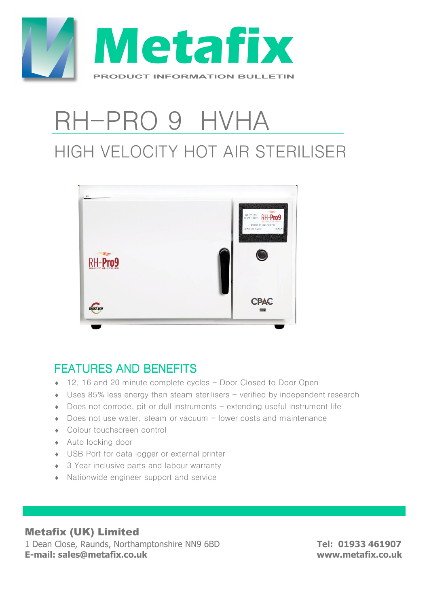

## RH-PRO 9 HVHA HIGH VELOCITY HOT AIR STERILISER



#### FFATURES AND BENEFITS

- ◆ 12, 16 and 20 minute complete cycles Door Closed to Door Open
- $\bullet$  Uses 85% less energy than steam sterilisers verified by independent research
- $\bullet$  Does not corrode, pit or dull instruments extending useful instrument life
- Does not use water, steam or vacuum lower costs and maintenance
- ♦ Colour touchscreen control
- ♦ Auto locking door
- ♦ USB Port for data logger or external printer
- ◆ 3 Year inclusive parts and labour warranty
- ♦ Nationwide engineer support and service

#### Metafix (UK) Limited

1 Dean Close, Raunds, Northamptonshire NN9 6BD **Tel: 01933 461907 E-mail: sales@metafix.co.uk www.metafix.co.uk**